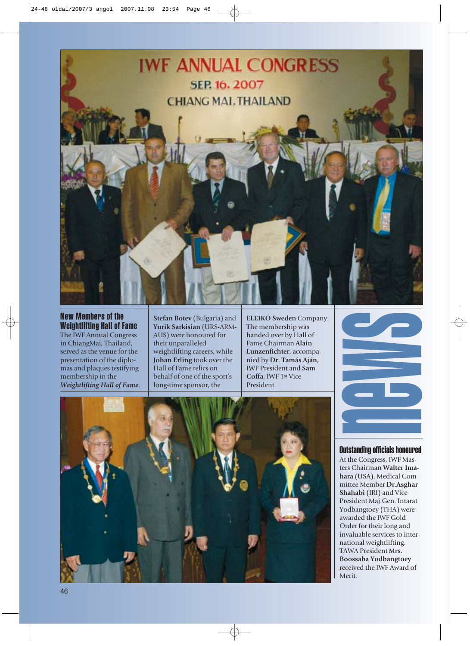

New Members of the Weightlifting Hall of Fame The IWF Annual Congress in ChiangMai, Thailand, served as the venue for the presentation of the diplomas and plaques testifying membership in the *Weightlifting Hall of Fame*.

**Stefan Botev** (Bulgaria) and **Yurik Sarkisian** (URS-ARM-AUS) were honoured for their unparalleled weightlifting careers, while **Johan Erling** took over the Hall of Fame relics on behalf of one of the sport's long-time sponsor, the

**ELEIKO Sweden** Company. The membership was handed over by Hall of Fame Chairman **Alain Lunzenfichter**, accompanied by **Dr. Tamás Aján**, IWF President and **Sam Coffa**, IWF 1st Vice President.





Outstanding officials honoured

At the Congress, IWF Masters Chairman **Walter Imahara** (USA), Medical Committee Member **Dr.Asghar Shahabi** (IRI) and Vice President Maj.Gen. Intarat Yodbangtoey (THA) were awarded the IWF Gold Order for their long and invaluable services to international weightlifting. TAWA President **Mrs. Boossaba Yodbangtoey** received the IWF Award of Merit.